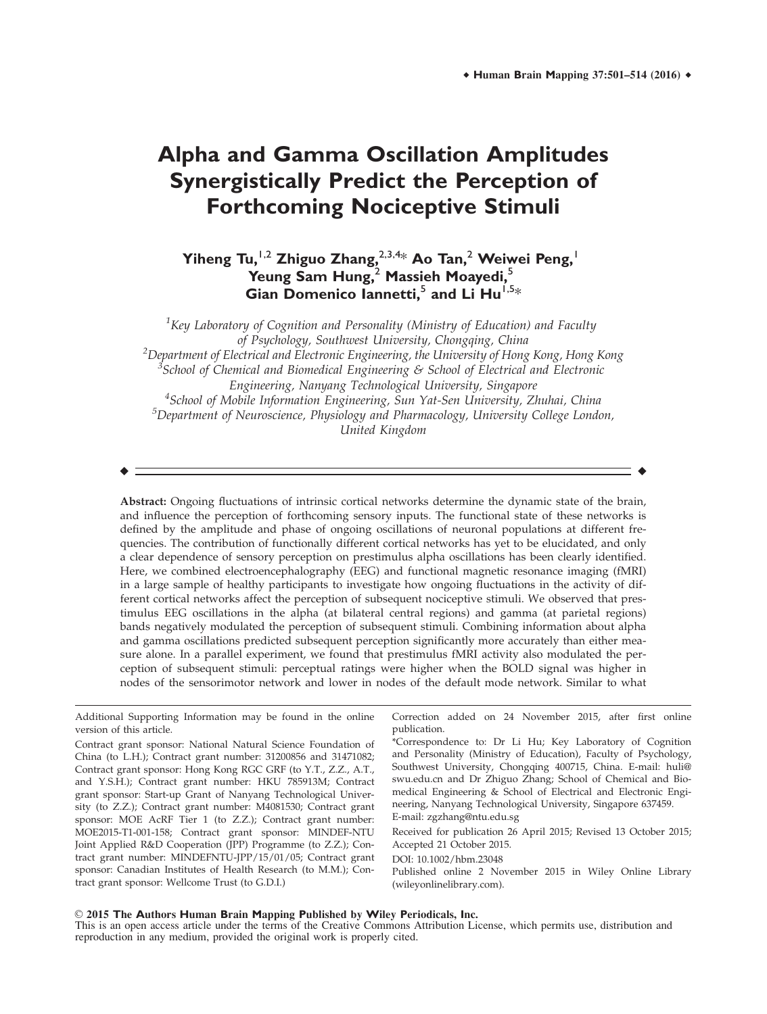# **Alpha and Gamma Oscillation Amplitudes Synergistically Predict the Perception of Forthcoming Nociceptive Stimuli**

**Yiheng Tu,**1,2 **Zhiguo Zhang,**2,3,4\* **Ao Tan,**<sup>2</sup> **Weiwei Peng,**<sup>1</sup> **Yeung Sam Hung,**<sup>2</sup> **Massieh Moayedi,**<sup>5</sup> **Gian Domenico lannetti,<sup>5</sup> and Li Hu<sup>1,5\*</sup></u>** 

 $^1$ Key Laboratory of Cognition and Personality (Ministry of Education) and Faculty of Psychology, Southwest University, Chongqing, China  $^2$ Department of Electrical and Electronic Engineering, the University of Hong Kong, Hong Kong  $3$ School of Chemical and Biomedical Engineering & School of Electrical and Electronic Engineering, Nanyang Technological University, Singapore 4 School of Mobile Information Engineering, Sun Yat-Sen University, Zhuhai, China <sup>5</sup>Department of Neuroscience, Physiology and Pharmacology, University College London, United Kingdom

r r

Abstract: Ongoing fluctuations of intrinsic cortical networks determine the dynamic state of the brain, and influence the perception of forthcoming sensory inputs. The functional state of these networks is defined by the amplitude and phase of ongoing oscillations of neuronal populations at different frequencies. The contribution of functionally different cortical networks has yet to be elucidated, and only a clear dependence of sensory perception on prestimulus alpha oscillations has been clearly identified. Here, we combined electroencephalography (EEG) and functional magnetic resonance imaging (fMRI) in a large sample of healthy participants to investigate how ongoing fluctuations in the activity of different cortical networks affect the perception of subsequent nociceptive stimuli. We observed that prestimulus EEG oscillations in the alpha (at bilateral central regions) and gamma (at parietal regions) bands negatively modulated the perception of subsequent stimuli. Combining information about alpha and gamma oscillations predicted subsequent perception significantly more accurately than either measure alone. In a parallel experiment, we found that prestimulus fMRI activity also modulated the perception of subsequent stimuli: perceptual ratings were higher when the BOLD signal was higher in nodes of the sensorimotor network and lower in nodes of the default mode network. Similar to what

Contract grant sponsor: National Natural Science Foundation of China (to L.H.); Contract grant number: 31200856 and 31471082; Contract grant sponsor: Hong Kong RGC GRF (to Y.T., Z.Z., A.T., and Y.S.H.); Contract grant number: HKU 785913M; Contract grant sponsor: Start-up Grant of Nanyang Technological University (to Z.Z.); Contract grant number: M4081530; Contract grant sponsor: MOE AcRF Tier 1 (to Z.Z.); Contract grant number: MOE2015-T1-001-158; Contract grant sponsor: MINDEF-NTU Joint Applied R&D Cooperation (JPP) Programme (to Z.Z.); Contract grant number: MINDEFNTU-JPP/15/01/05; Contract grant sponsor: Canadian Institutes of Health Research (to M.M.); Contract grant sponsor: Wellcome Trust (to G.D.I.)

\*Correspondence to: Dr Li Hu; Key Laboratory of Cognition and Personality (Ministry of Education), Faculty of Psychology, Southwest University, Chongqing 400715, China. E-mail: huli@ swu.edu.cn and Dr Zhiguo Zhang; School of Chemical and Biomedical Engineering & School of Electrical and Electronic Engineering, Nanyang Technological University, Singapore 637459. E-mail: zgzhang@ntu.edu.sg

Received for publication 26 April 2015; Revised 13 October 2015; Accepted 21 October 2015.

DOI: 10.1002/hbm.23048

Published online 2 November 2015 in Wiley Online Library (wileyonlinelibrary.com).

#### $\heartsuit$  2015 The Authors Human Brain Mapping Published by Wiley Periodicals, Inc.

This is an open access article under the terms of the [Creative Commons Attribution](http://creativecommons.org/licenses/by/3.0/) License, which permits use, distribution and reproduction in any medium, provided the original work is properly cited.

Additional Supporting Information may be found in the online version of this article. Correction added on 24 November 2015, after first online publication.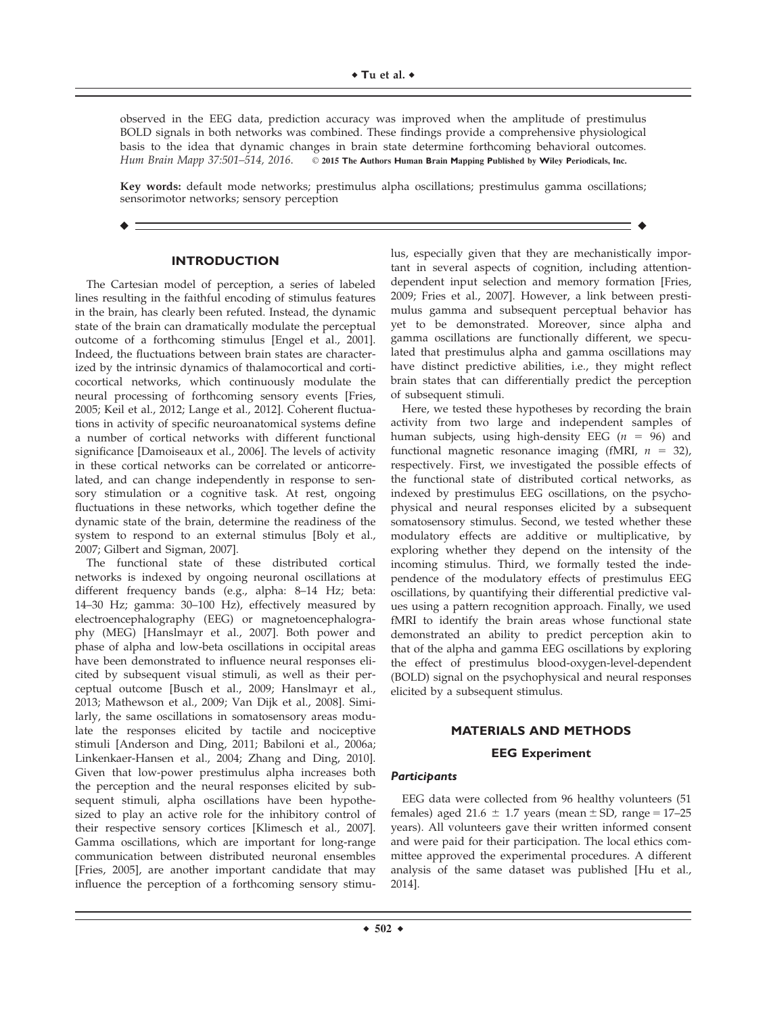observed in the EEG data, prediction accuracy was improved when the amplitude of prestimulus BOLD signals in both networks was combined. These findings provide a comprehensive physiological basis to the idea that dynamic changes in brain state determine forthcoming behavioral outcomes. Hum Brain Mapp 37:501–514, 2016. <sup>V</sup><sup>C</sup> 2015 **T**he **A**uthors **H**uman **B**rain **M**apping **P**ublished by **W**iley **P**eriodicals, **I**nc.

Key words: default mode networks; prestimulus alpha oscillations; prestimulus gamma oscillations; sensorimotor networks; sensory perception

r r

## **INTRODUCTION**

The Cartesian model of perception, a series of labeled lines resulting in the faithful encoding of stimulus features in the brain, has clearly been refuted. Instead, the dynamic state of the brain can dramatically modulate the perceptual outcome of a forthcoming stimulus [Engel et al., 2001]. Indeed, the fluctuations between brain states are characterized by the intrinsic dynamics of thalamocortical and corticocortical networks, which continuously modulate the neural processing of forthcoming sensory events [Fries, 2005; Keil et al., 2012; Lange et al., 2012]. Coherent fluctuations in activity of specific neuroanatomical systems define a number of cortical networks with different functional significance [Damoiseaux et al., 2006]. The levels of activity in these cortical networks can be correlated or anticorrelated, and can change independently in response to sensory stimulation or a cognitive task. At rest, ongoing fluctuations in these networks, which together define the dynamic state of the brain, determine the readiness of the system to respond to an external stimulus [Boly et al., 2007; Gilbert and Sigman, 2007].

The functional state of these distributed cortical networks is indexed by ongoing neuronal oscillations at different frequency bands (e.g., alpha: 8–14 Hz; beta: 14–30 Hz; gamma: 30–100 Hz), effectively measured by electroencephalography (EEG) or magnetoencephalography (MEG) [Hanslmayr et al., 2007]. Both power and phase of alpha and low-beta oscillations in occipital areas have been demonstrated to influence neural responses elicited by subsequent visual stimuli, as well as their perceptual outcome [Busch et al., 2009; Hanslmayr et al., 2013; Mathewson et al., 2009; Van Dijk et al., 2008]. Similarly, the same oscillations in somatosensory areas modulate the responses elicited by tactile and nociceptive stimuli [Anderson and Ding, 2011; Babiloni et al., 2006a; Linkenkaer-Hansen et al., 2004; Zhang and Ding, 2010]. Given that low-power prestimulus alpha increases both the perception and the neural responses elicited by subsequent stimuli, alpha oscillations have been hypothesized to play an active role for the inhibitory control of their respective sensory cortices [Klimesch et al., 2007]. Gamma oscillations, which are important for long-range communication between distributed neuronal ensembles [Fries, 2005], are another important candidate that may influence the perception of a forthcoming sensory stimulus, especially given that they are mechanistically important in several aspects of cognition, including attentiondependent input selection and memory formation [Fries, 2009; Fries et al., 2007]. However, a link between prestimulus gamma and subsequent perceptual behavior has yet to be demonstrated. Moreover, since alpha and gamma oscillations are functionally different, we speculated that prestimulus alpha and gamma oscillations may have distinct predictive abilities, i.e., they might reflect brain states that can differentially predict the perception of subsequent stimuli.

Here, we tested these hypotheses by recording the brain activity from two large and independent samples of human subjects, using high-density EEG ( $n = 96$ ) and functional magnetic resonance imaging (fMRI,  $n = 32$ ), respectively. First, we investigated the possible effects of the functional state of distributed cortical networks, as indexed by prestimulus EEG oscillations, on the psychophysical and neural responses elicited by a subsequent somatosensory stimulus. Second, we tested whether these modulatory effects are additive or multiplicative, by exploring whether they depend on the intensity of the incoming stimulus. Third, we formally tested the independence of the modulatory effects of prestimulus EEG oscillations, by quantifying their differential predictive values using a pattern recognition approach. Finally, we used fMRI to identify the brain areas whose functional state demonstrated an ability to predict perception akin to that of the alpha and gamma EEG oscillations by exploring the effect of prestimulus blood-oxygen-level-dependent (BOLD) signal on the psychophysical and neural responses elicited by a subsequent stimulus.

#### **MATERIALS AND METHODS**

#### **EEG Experiment**

#### **Participants**

EEG data were collected from 96 healthy volunteers (51 females) aged 21.6  $\pm$  1.7 years (mean  $\pm$  SD, range = 17–25 years). All volunteers gave their written informed consent and were paid for their participation. The local ethics committee approved the experimental procedures. A different analysis of the same dataset was published [Hu et al., 2014].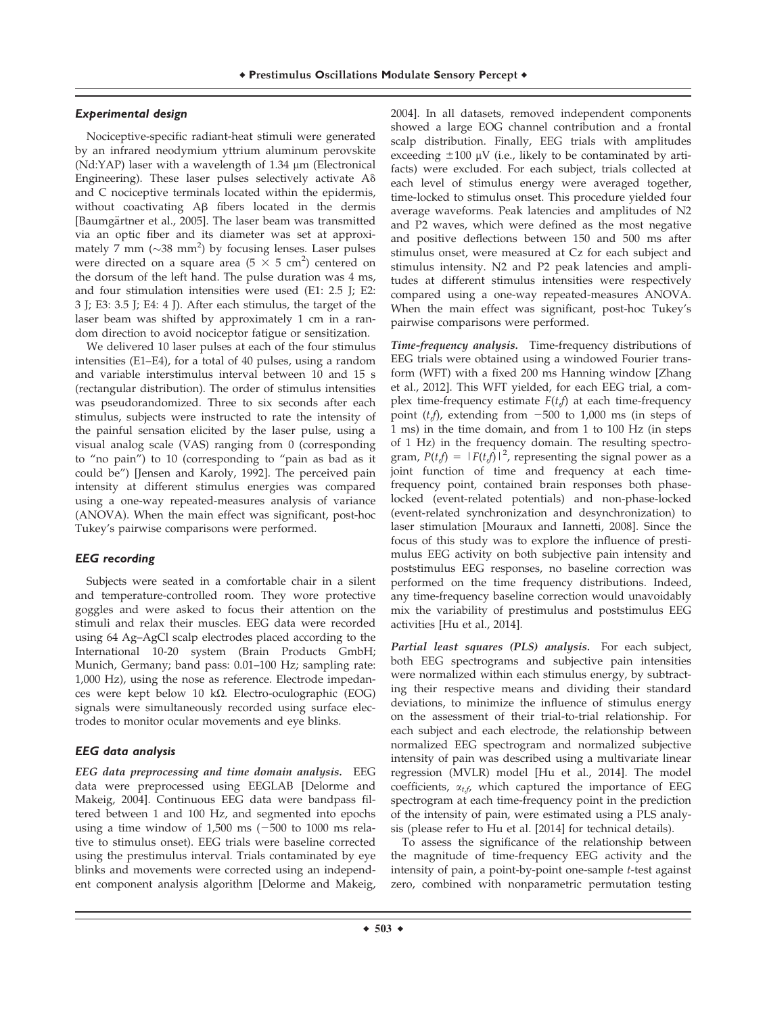# Experimental design

Nociceptive-specific radiant-heat stimuli were generated by an infrared neodymium yttrium aluminum perovskite ( $Nd:YAP$ ) laser with a wavelength of 1.34  $\mu$ m (Electronical Engineering). These laser pulses selectively activate  $A\delta$ and C nociceptive terminals located within the epidermis, without coactivating  $\overrightarrow{AB}$  fibers located in the dermis [Baumgärtner et al., 2005]. The laser beam was transmitted via an optic fiber and its diameter was set at approximately 7 mm  $(\sim]38$  mm<sup>2</sup>) by focusing lenses. Laser pulses were directed on a square area ( $5 \times 5$  cm<sup>2</sup>) centered on the dorsum of the left hand. The pulse duration was 4 ms, and four stimulation intensities were used (E1: 2.5 J; E2: 3 J; E3: 3.5 J; E4: 4 J). After each stimulus, the target of the laser beam was shifted by approximately 1 cm in a random direction to avoid nociceptor fatigue or sensitization.

We delivered 10 laser pulses at each of the four stimulus intensities (E1–E4), for a total of 40 pulses, using a random and variable interstimulus interval between 10 and 15 s (rectangular distribution). The order of stimulus intensities was pseudorandomized. Three to six seconds after each stimulus, subjects were instructed to rate the intensity of the painful sensation elicited by the laser pulse, using a visual analog scale (VAS) ranging from 0 (corresponding to "no pain") to 10 (corresponding to "pain as bad as it could be") [Jensen and Karoly, 1992]. The perceived pain intensity at different stimulus energies was compared using a one-way repeated-measures analysis of variance (ANOVA). When the main effect was significant, post-hoc Tukey's pairwise comparisons were performed.

## EEG recording

Subjects were seated in a comfortable chair in a silent and temperature-controlled room. They wore protective goggles and were asked to focus their attention on the stimuli and relax their muscles. EEG data were recorded using 64 Ag–AgCl scalp electrodes placed according to the International 10-20 system (Brain Products GmbH; Munich, Germany; band pass: 0.01–100 Hz; sampling rate: 1,000 Hz), using the nose as reference. Electrode impedances were kept below 10 kX. Electro-oculographic (EOG) signals were simultaneously recorded using surface electrodes to monitor ocular movements and eye blinks.

### EEG data analysis

EEG data preprocessing and time domain analysis. EEG data were preprocessed using EEGLAB [Delorme and Makeig, 2004]. Continuous EEG data were bandpass filtered between 1 and 100 Hz, and segmented into epochs using a time window of  $1,500$  ms  $(-500$  to 1000 ms relative to stimulus onset). EEG trials were baseline corrected using the prestimulus interval. Trials contaminated by eye blinks and movements were corrected using an independent component analysis algorithm [Delorme and Makeig, 2004]. In all datasets, removed independent components showed a large EOG channel contribution and a frontal scalp distribution. Finally, EEG trials with amplitudes exceeding  $\pm 100 \mu V$  (i.e., likely to be contaminated by artifacts) were excluded. For each subject, trials collected at each level of stimulus energy were averaged together, time-locked to stimulus onset. This procedure yielded four average waveforms. Peak latencies and amplitudes of N2 and P2 waves, which were defined as the most negative and positive deflections between 150 and 500 ms after stimulus onset, were measured at Cz for each subject and stimulus intensity. N2 and P2 peak latencies and amplitudes at different stimulus intensities were respectively compared using a one-way repeated-measures ANOVA. When the main effect was significant, post-hoc Tukey's pairwise comparisons were performed.

Time-frequency analysis. Time-frequency distributions of EEG trials were obtained using a windowed Fourier transform (WFT) with a fixed 200 ms Hanning window [Zhang et al., 2012]. This WFT yielded, for each EEG trial, a complex time-frequency estimate  $F(t,f)$  at each time-frequency point  $(t,f)$ , extending from  $-500$  to 1,000 ms (in steps of 1 ms) in the time domain, and from 1 to 100 Hz (in steps of 1 Hz) in the frequency domain. The resulting spectrogram,  $P(t,f) = |F(t,f)|^2$ , representing the signal power as a joint function of time and frequency at each timefrequency point, contained brain responses both phaselocked (event-related potentials) and non-phase-locked (event-related synchronization and desynchronization) to laser stimulation [Mouraux and Iannetti, 2008]. Since the focus of this study was to explore the influence of prestimulus EEG activity on both subjective pain intensity and poststimulus EEG responses, no baseline correction was performed on the time frequency distributions. Indeed, any time-frequency baseline correction would unavoidably mix the variability of prestimulus and poststimulus EEG activities [Hu et al., 2014].

Partial least squares (PLS) analysis. For each subject, both EEG spectrograms and subjective pain intensities were normalized within each stimulus energy, by subtracting their respective means and dividing their standard deviations, to minimize the influence of stimulus energy on the assessment of their trial-to-trial relationship. For each subject and each electrode, the relationship between normalized EEG spectrogram and normalized subjective intensity of pain was described using a multivariate linear regression (MVLR) model [Hu et al., 2014]. The model coefficients,  $\alpha_{t,f}$ , which captured the importance of EEG spectrogram at each time-frequency point in the prediction of the intensity of pain, were estimated using a PLS analysis (please refer to Hu et al. [2014] for technical details).

To assess the significance of the relationship between the magnitude of time-frequency EEG activity and the intensity of pain, a point-by-point one-sample t-test against zero, combined with nonparametric permutation testing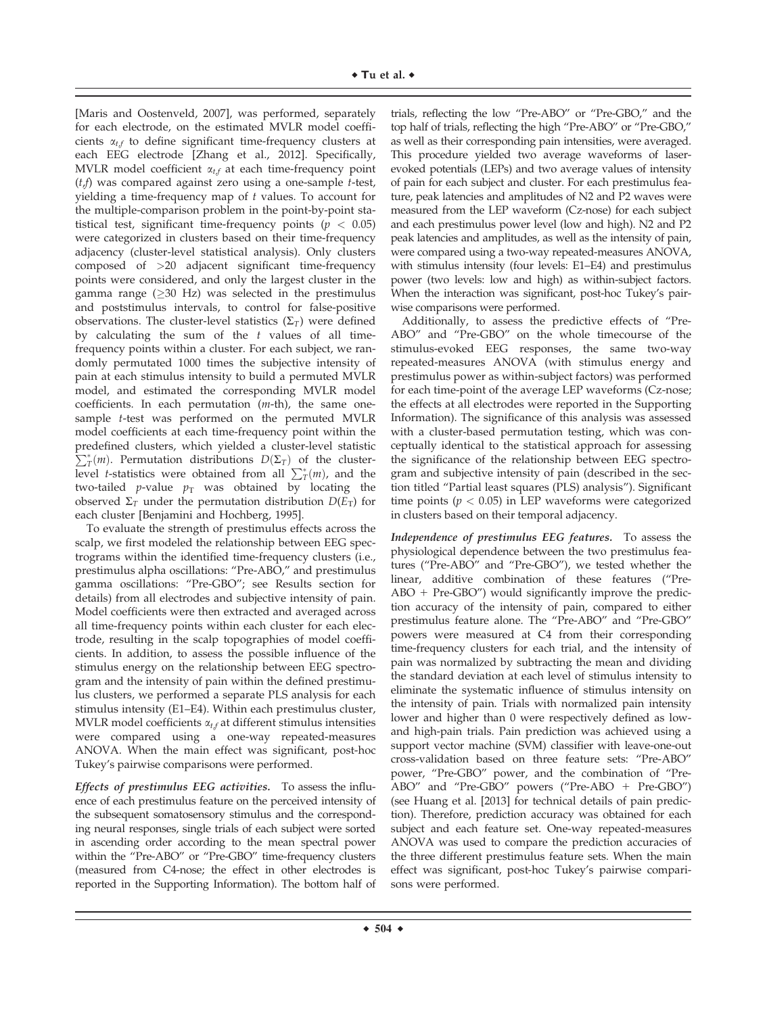[Maris and Oostenveld, 2007], was performed, separately for each electrode, on the estimated MVLR model coefficients  $\alpha_{t,f}$  to define significant time-frequency clusters at each EEG electrode [Zhang et al., 2012]. Specifically, MVLR model coefficient  $\alpha_{t,f}$  at each time-frequency point  $(t,f)$  was compared against zero using a one-sample t-test, yielding a time-frequency map of  $t$  values. To account for the multiple-comparison problem in the point-by-point statistical test, significant time-frequency points ( $p < 0.05$ ) were categorized in clusters based on their time-frequency adjacency (cluster-level statistical analysis). Only clusters composed of >20 adjacent significant time-frequency points were considered, and only the largest cluster in the gamma range  $(\geq 30$  Hz) was selected in the prestimulus and poststimulus intervals, to control for false-positive observations. The cluster-level statistics  $(\Sigma_T)$  were defined by calculating the sum of the  $t$  values of all timefrequency points within a cluster. For each subject, we randomly permutated 1000 times the subjective intensity of pain at each stimulus intensity to build a permuted MVLR model, and estimated the corresponding MVLR model coefficients. In each permutation  $(m-th)$ , the same onesample t-test was performed on the permuted MVLR model coefficients at each time-frequency point within the predefined clusters, which yielded a cluster-level statistic  $\sum_{T}^{*}(m)$ . Permutation distributions  $D(\Sigma_T)$  of the cluster-Level *t*-statistics were obtained from all  $\sum_{T}^{*}(m)$ , and the two-tailed *p*-value  $p_T$  was obtained by locating the observed  $\Sigma_T$  under the permutation distribution  $D(E_T)$  for each cluster [Benjamini and Hochberg, 1995].

To evaluate the strength of prestimulus effects across the scalp, we first modeled the relationship between EEG spectrograms within the identified time-frequency clusters (i.e., prestimulus alpha oscillations: "Pre-ABO," and prestimulus gamma oscillations: "Pre-GBO"; see Results section for details) from all electrodes and subjective intensity of pain. Model coefficients were then extracted and averaged across all time-frequency points within each cluster for each electrode, resulting in the scalp topographies of model coefficients. In addition, to assess the possible influence of the stimulus energy on the relationship between EEG spectrogram and the intensity of pain within the defined prestimulus clusters, we performed a separate PLS analysis for each stimulus intensity (E1–E4). Within each prestimulus cluster, MVLR model coefficients  $\alpha_{t,f}$  at different stimulus intensities were compared using a one-way repeated-measures ANOVA. When the main effect was significant, post-hoc Tukey's pairwise comparisons were performed.

Effects of prestimulus EEG activities. To assess the influence of each prestimulus feature on the perceived intensity of the subsequent somatosensory stimulus and the corresponding neural responses, single trials of each subject were sorted in ascending order according to the mean spectral power within the "Pre-ABO" or "Pre-GBO" time-frequency clusters (measured from C4-nose; the effect in other electrodes is reported in the Supporting Information). The bottom half of trials, reflecting the low "Pre-ABO" or "Pre-GBO," and the top half of trials, reflecting the high "Pre-ABO" or "Pre-GBO," as well as their corresponding pain intensities, were averaged. This procedure yielded two average waveforms of laserevoked potentials (LEPs) and two average values of intensity of pain for each subject and cluster. For each prestimulus feature, peak latencies and amplitudes of N2 and P2 waves were measured from the LEP waveform (Cz-nose) for each subject and each prestimulus power level (low and high). N2 and P2 peak latencies and amplitudes, as well as the intensity of pain, were compared using a two-way repeated-measures ANOVA, with stimulus intensity (four levels: E1–E4) and prestimulus power (two levels: low and high) as within-subject factors. When the interaction was significant, post-hoc Tukey's pairwise comparisons were performed.

Additionally, to assess the predictive effects of "Pre-ABO" and "Pre-GBO" on the whole timecourse of the stimulus-evoked EEG responses, the same two-way repeated-measures ANOVA (with stimulus energy and prestimulus power as within-subject factors) was performed for each time-point of the average LEP waveforms (Cz-nose; the effects at all electrodes were reported in the Supporting Information). The significance of this analysis was assessed with a cluster-based permutation testing, which was conceptually identical to the statistical approach for assessing the significance of the relationship between EEG spectrogram and subjective intensity of pain (described in the section titled "Partial least squares (PLS) analysis"). Significant time points ( $p < 0.05$ ) in LEP waveforms were categorized in clusters based on their temporal adjacency.

Independence of prestimulus EEG features. To assess the physiological dependence between the two prestimulus features ("Pre-ABO" and "Pre-GBO"), we tested whether the linear, additive combination of these features ("Pre- $ABO + Pre-GBO$ ") would significantly improve the prediction accuracy of the intensity of pain, compared to either prestimulus feature alone. The "Pre-ABO" and "Pre-GBO" powers were measured at C4 from their corresponding time-frequency clusters for each trial, and the intensity of pain was normalized by subtracting the mean and dividing the standard deviation at each level of stimulus intensity to eliminate the systematic influence of stimulus intensity on the intensity of pain. Trials with normalized pain intensity lower and higher than 0 were respectively defined as lowand high-pain trials. Pain prediction was achieved using a support vector machine (SVM) classifier with leave-one-out cross-validation based on three feature sets: "Pre-ABO" power, "Pre-GBO" power, and the combination of "Pre-ABO" and "Pre-GBO" powers ("Pre-ABO  $+$  Pre-GBO") (see Huang et al. [2013] for technical details of pain prediction). Therefore, prediction accuracy was obtained for each subject and each feature set. One-way repeated-measures ANOVA was used to compare the prediction accuracies of the three different prestimulus feature sets. When the main effect was significant, post-hoc Tukey's pairwise comparisons were performed.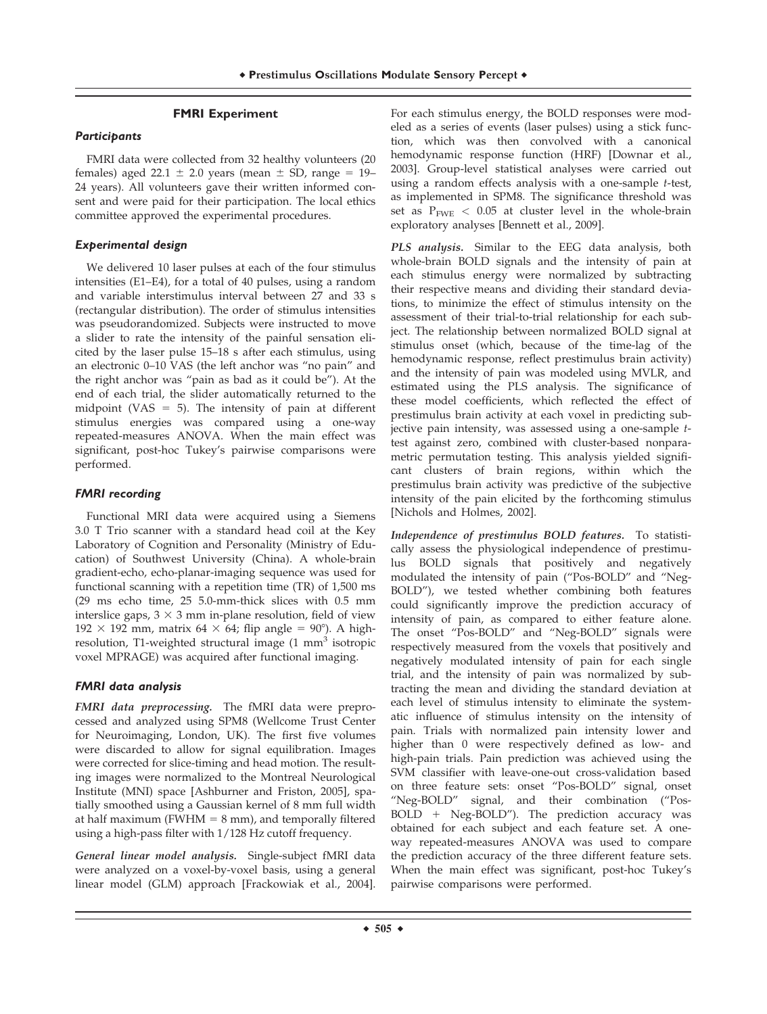# **FMRI Experiment**

# **Participants**

FMRI data were collected from 32 healthy volunteers (20 females) aged 22.1  $\pm$  2.0 years (mean  $\pm$  SD, range = 19– 24 years). All volunteers gave their written informed consent and were paid for their participation. The local ethics committee approved the experimental procedures.

# Experimental design

We delivered 10 laser pulses at each of the four stimulus intensities (E1–E4), for a total of 40 pulses, using a random and variable interstimulus interval between 27 and 33 s (rectangular distribution). The order of stimulus intensities was pseudorandomized. Subjects were instructed to move a slider to rate the intensity of the painful sensation elicited by the laser pulse 15–18 s after each stimulus, using an electronic 0–10 VAS (the left anchor was "no pain" and the right anchor was "pain as bad as it could be"). At the end of each trial, the slider automatically returned to the midpoint (VAS  $=$  5). The intensity of pain at different stimulus energies was compared using a one-way repeated-measures ANOVA. When the main effect was significant, post-hoc Tukey's pairwise comparisons were performed.

# FMRI recording

Functional MRI data were acquired using a Siemens 3.0 T Trio scanner with a standard head coil at the Key Laboratory of Cognition and Personality (Ministry of Education) of Southwest University (China). A whole-brain gradient-echo, echo-planar-imaging sequence was used for functional scanning with a repetition time (TR) of 1,500 ms (29 ms echo time, 25 5.0-mm-thick slices with 0.5 mm interslice gaps,  $3 \times 3$  mm in-plane resolution, field of view 192  $\times$  192 mm, matrix 64  $\times$  64; flip angle = 90°). A highresolution, T1-weighted structural image (1 mm<sup>3</sup> isotropic voxel MPRAGE) was acquired after functional imaging.

# FMRI data analysis

FMRI data preprocessing. The fMRI data were preprocessed and analyzed using SPM8 (Wellcome Trust Center for Neuroimaging, London, UK). The first five volumes were discarded to allow for signal equilibration. Images were corrected for slice-timing and head motion. The resulting images were normalized to the Montreal Neurological Institute (MNI) space [Ashburner and Friston, 2005], spatially smoothed using a Gaussian kernel of 8 mm full width at half maximum (FWHM  $= 8$  mm), and temporally filtered using a high-pass filter with 1/128 Hz cutoff frequency.

General linear model analysis. Single-subject fMRI data were analyzed on a voxel-by-voxel basis, using a general linear model (GLM) approach [Frackowiak et al., 2004].

For each stimulus energy, the BOLD responses were modeled as a series of events (laser pulses) using a stick function, which was then convolved with a canonical hemodynamic response function (HRF) [Downar et al., 2003]. Group-level statistical analyses were carried out using a random effects analysis with a one-sample t-test, as implemented in SPM8. The significance threshold was set as  $P_{\text{FWE}}$  < 0.05 at cluster level in the whole-brain exploratory analyses [Bennett et al., 2009].

PLS analysis. Similar to the EEG data analysis, both whole-brain BOLD signals and the intensity of pain at each stimulus energy were normalized by subtracting their respective means and dividing their standard deviations, to minimize the effect of stimulus intensity on the assessment of their trial-to-trial relationship for each subject. The relationship between normalized BOLD signal at stimulus onset (which, because of the time-lag of the hemodynamic response, reflect prestimulus brain activity) and the intensity of pain was modeled using MVLR, and estimated using the PLS analysis. The significance of these model coefficients, which reflected the effect of prestimulus brain activity at each voxel in predicting subjective pain intensity, was assessed using a one-sample ttest against zero, combined with cluster-based nonparametric permutation testing. This analysis yielded significant clusters of brain regions, within which the prestimulus brain activity was predictive of the subjective intensity of the pain elicited by the forthcoming stimulus [Nichols and Holmes, 2002].

Independence of prestimulus BOLD features. To statistically assess the physiological independence of prestimulus BOLD signals that positively and negatively modulated the intensity of pain ("Pos-BOLD" and "Neg-BOLD"), we tested whether combining both features could significantly improve the prediction accuracy of intensity of pain, as compared to either feature alone. The onset "Pos-BOLD" and "Neg-BOLD" signals were respectively measured from the voxels that positively and negatively modulated intensity of pain for each single trial, and the intensity of pain was normalized by subtracting the mean and dividing the standard deviation at each level of stimulus intensity to eliminate the systematic influence of stimulus intensity on the intensity of pain. Trials with normalized pain intensity lower and higher than 0 were respectively defined as low- and high-pain trials. Pain prediction was achieved using the SVM classifier with leave-one-out cross-validation based on three feature sets: onset "Pos-BOLD" signal, onset "Neg-BOLD" signal, and their combination ("Pos- $BOLD + Neg-BOLD"$ ). The prediction accuracy was obtained for each subject and each feature set. A oneway repeated-measures ANOVA was used to compare the prediction accuracy of the three different feature sets. When the main effect was significant, post-hoc Tukey's pairwise comparisons were performed.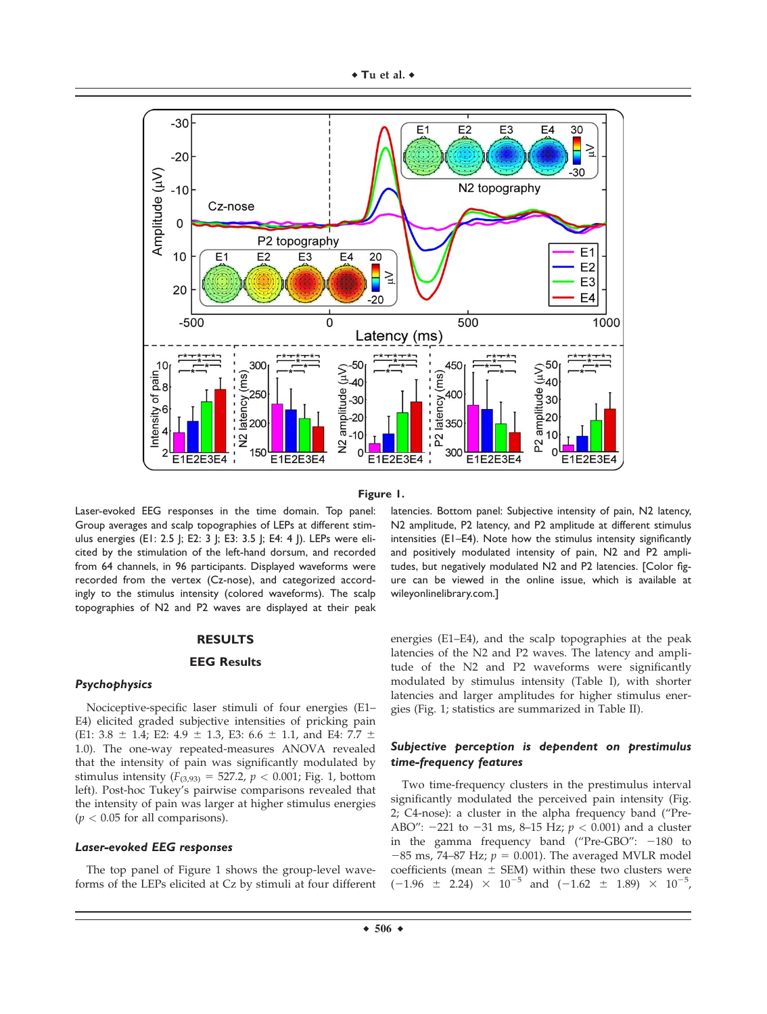

#### **Figure 1.**

Laser-evoked EEG responses in the time domain. Top panel: Group averages and scalp topographies of LEPs at different stimulus energies (E1: 2.5 J; E2: 3 J; E3: 3.5 J; E4: 4 J). LEPs were elicited by the stimulation of the left-hand dorsum, and recorded from 64 channels, in 96 participants. Displayed waveforms were recorded from the vertex (Cz-nose), and categorized accordingly to the stimulus intensity (colored waveforms). The scalp topographies of N2 and P2 waves are displayed at their peak

## **RESULTS**

#### **EEG Results**

#### Psychophysics

Nociceptive-specific laser stimuli of four energies (E1– E4) elicited graded subjective intensities of pricking pain (E1: 3.8  $\pm$  1.4; E2: 4.9  $\pm$  1.3, E3: 6.6  $\pm$  1.1, and E4: 7.7  $\pm$ 1.0). The one-way repeated-measures ANOVA revealed that the intensity of pain was significantly modulated by stimulus intensity ( $F_{(3,93)} = 527.2$ ,  $p < 0.001$ ; Fig. 1, bottom left). Post-hoc Tukey's pairwise comparisons revealed that the intensity of pain was larger at higher stimulus energies  $(p < 0.05$  for all comparisons).

#### Laser-evoked EEG responses

The top panel of Figure 1 shows the group-level waveforms of the LEPs elicited at Cz by stimuli at four different latencies. Bottom panel: Subjective intensity of pain, N2 latency, N2 amplitude, P2 latency, and P2 amplitude at different stimulus intensities (E1–E4). Note how the stimulus intensity significantly and positively modulated intensity of pain, N2 and P2 amplitudes, but negatively modulated N2 and P2 latencies. [Color figure can be viewed in the online issue, which is available at [wileyonlinelibrary.com](http://wileyonlinelibrary.com).]

energies (E1–E4), and the scalp topographies at the peak latencies of the N2 and P2 waves. The latency and amplitude of the N2 and P2 waveforms were significantly modulated by stimulus intensity (Table I), with shorter latencies and larger amplitudes for higher stimulus energies (Fig. 1; statistics are summarized in Table II).

## Subjective perception is dependent on prestimulus time-frequency features

Two time-frequency clusters in the prestimulus interval significantly modulated the perceived pain intensity (Fig. 2; C4-nose): a cluster in the alpha frequency band ("Pre-ABO":  $-221$  to  $-31$  ms, 8-15 Hz;  $p < 0.001$ ) and a cluster in the gamma frequency band ("Pre-GBO":  $-180$  to  $-85$  ms, 74–87 Hz;  $p = 0.001$ ). The averaged MVLR model coefficients (mean  $\pm$  SEM) within these two clusters were  $(-1.96 \pm 2.24) \times 10^{-5}$  and  $(-1.62 \pm 1.89) \times 10^{-5}$ ,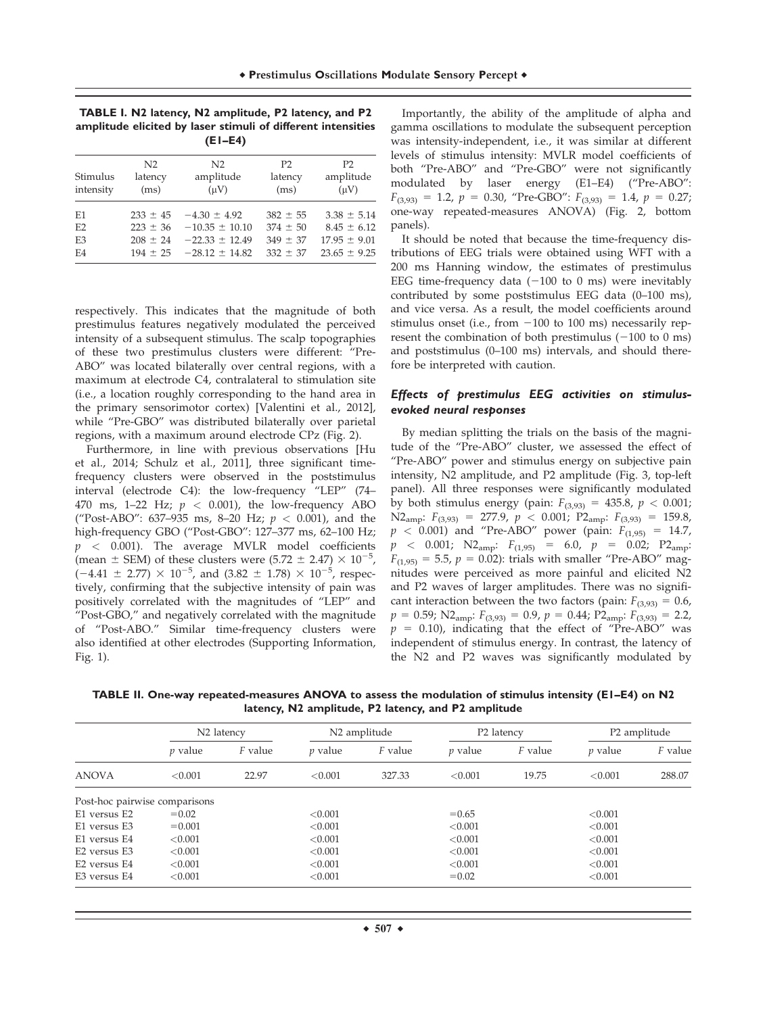| TABLE I. N2 latency, N2 amplitude, P2 latency, and P2        |
|--------------------------------------------------------------|
| amplitude elicited by laser stimuli of different intensities |
| $(EI-E4)$                                                    |

| Stimulus<br>intensity | N <sub>2</sub><br>latency<br>(ms) | N <sub>2</sub><br>amplitude<br>$(\mu V)$ | P <sub>2</sub><br>latency<br>(ms) | P <sub>2</sub><br>amplitude<br>$(\mu V)$ |
|-----------------------|-----------------------------------|------------------------------------------|-----------------------------------|------------------------------------------|
| E1                    | $233 \pm 45$                      | $-4.30 \pm 4.92$                         | $382 \pm 55$                      | $3.38 \pm 5.14$                          |
| E2                    | $223 \pm 36$                      | $-10.35 \pm 10.10$                       | $374 \pm 50$                      | $8.45 \pm 6.12$                          |
| E <sub>3</sub>        | $208 \pm 24$                      | $-22.33 \pm 12.49$                       | $349 \pm 37$                      | $17.95 \pm 9.01$                         |
| F <sub>4</sub>        | $194 + 25$                        | $-28.12 \pm 14.82$                       | $332 \pm 37$                      | $23.65 \pm 9.25$                         |

respectively. This indicates that the magnitude of both prestimulus features negatively modulated the perceived intensity of a subsequent stimulus. The scalp topographies of these two prestimulus clusters were different: "Pre-ABO" was located bilaterally over central regions, with a maximum at electrode C4, contralateral to stimulation site (i.e., a location roughly corresponding to the hand area in the primary sensorimotor cortex) [Valentini et al., 2012], while "Pre-GBO" was distributed bilaterally over parietal regions, with a maximum around electrode CPz (Fig. 2).

Furthermore, in line with previous observations [Hu et al., 2014; Schulz et al., 2011], three significant timefrequency clusters were observed in the poststimulus interval (electrode C4): the low-frequency "LEP" (74– 470 ms, 1–22 Hz;  $p < 0.001$ ), the low-frequency ABO ("Post-ABO": 637-935 ms, 8-20 Hz;  $p < 0.001$ ), and the high-frequency GBO ("Post-GBO": 127–377 ms, 62–100 Hz;  $p < 0.001$ ). The average MVLR model coefficients (mean  $\pm$  SEM) of these clusters were (5.72  $\pm$  2.47)  $\times$  10<sup>-5</sup>,  $(-4.41 \pm 2.77) \times 10^{-5}$ , and  $(3.82 \pm 1.78) \times 10^{-5}$ , respectively, confirming that the subjective intensity of pain was positively correlated with the magnitudes of "LEP" and "Post-GBO," and negatively correlated with the magnitude of "Post-ABO." Similar time-frequency clusters were also identified at other electrodes (Supporting Information, Fig. 1).

Importantly, the ability of the amplitude of alpha and gamma oscillations to modulate the subsequent perception was intensity-independent, i.e., it was similar at different levels of stimulus intensity: MVLR model coefficients of both "Pre-ABO" and "Pre-GBO" were not significantly modulated by laser energy (E1–E4) ("Pre-ABO":  $F_{(3,93)} = 1.2, p = 0.30, \text{ "Pre-GBO": } F_{(3,93)} = 1.4, p = 0.27;$ one-way repeated-measures ANOVA) (Fig. 2, bottom panels).

It should be noted that because the time-frequency distributions of EEG trials were obtained using WFT with a 200 ms Hanning window, the estimates of prestimulus EEG time-frequency data  $(-100 \text{ to } 0 \text{ ms})$  were inevitably contributed by some poststimulus EEG data (0–100 ms), and vice versa. As a result, the model coefficients around stimulus onset (i.e., from  $-100$  to 100 ms) necessarily represent the combination of both prestimulus  $(-100 \text{ to } 0 \text{ ms})$ and poststimulus (0–100 ms) intervals, and should therefore be interpreted with caution.

# Effects of prestimulus EEG activities on stimulusevoked neural responses

By median splitting the trials on the basis of the magnitude of the "Pre-ABO" cluster, we assessed the effect of "Pre-ABO" power and stimulus energy on subjective pain intensity, N2 amplitude, and P2 amplitude (Fig. 3, top-left panel). All three responses were significantly modulated by both stimulus energy (pain:  $F_{(3,93)} = 435.8, p < 0.001;$ N2<sub>amp</sub>:  $F_{(3,93)} = 277.9$ ,  $p < 0.001$ ; P2<sub>amp</sub>:  $F_{(3,93)} = 159.8$ ,  $p < 0.001$ ) and "Pre-ABO" power (pain:  $F_{(1,95)} = 14.7$ ,  $p \sim 0.001$ ; N2<sub>amp</sub>:  $F_{(1,95)} = 6.0$ ,  $p = 0.02$ ; P2<sub>amp</sub>:  $F_{(1,95)} = 5.5, p = 0.02$ : trials with smaller "Pre-ABO" magnitudes were perceived as more painful and elicited N2 and P2 waves of larger amplitudes. There was no significant interaction between the two factors (pain:  $F_{(3,93)} = 0.6$ ,  $p = 0.59$ ; N2<sub>amp</sub>:  $F_{(3,93)} = 0.9$ ,  $p = 0.44$ ; P2<sub>amp</sub>:  $F_{(3,93)} = 2.2$ ,  $p = 0.10$ ), indicating that the effect of "Pre-ABO" was independent of stimulus energy. In contrast, the latency of the N2 and P2 waves was significantly modulated by

**TABLE II. One-way repeated-measures ANOVA to assess the modulation of stimulus intensity (E1–E4) on N2 latency, N2 amplitude, P2 latency, and P2 amplitude**

|                               | N <sub>2</sub> latency |         | N <sub>2</sub> amplitude |         | P2 latency |         | P <sub>2</sub> amplitude |         |
|-------------------------------|------------------------|---------|--------------------------|---------|------------|---------|--------------------------|---------|
|                               | $\nu$ value            | F value | $\nu$ value              | F value | $p$ value  | F value | <i>p</i> value           | F value |
| <b>ANOVA</b>                  | < 0.001                | 22.97   | < 0.001                  | 327.33  | < 0.001    | 19.75   | < 0.001                  | 288.07  |
| Post-hoc pairwise comparisons |                        |         |                          |         |            |         |                          |         |
| E1 versus E2                  | $= 0.02$               |         | < 0.001                  |         | $= 0.65$   |         | < 0.001                  |         |
| E1 versus E3                  | $= 0.001$              |         | < 0.001                  |         | < 0.001    |         | < 0.001                  |         |
| E1 versus E4                  | < 0.001                |         | < 0.001                  |         | < 0.001    |         | < 0.001                  |         |
| E2 versus E3                  | < 0.001                |         | < 0.001                  |         | < 0.001    |         | < 0.001                  |         |
| E2 versus E4                  | < 0.001                |         | < 0.001                  |         | < 0.001    |         | < 0.001                  |         |
| E3 versus E4                  | < 0.001                |         | < 0.001                  |         | $=0.02$    |         | < 0.001                  |         |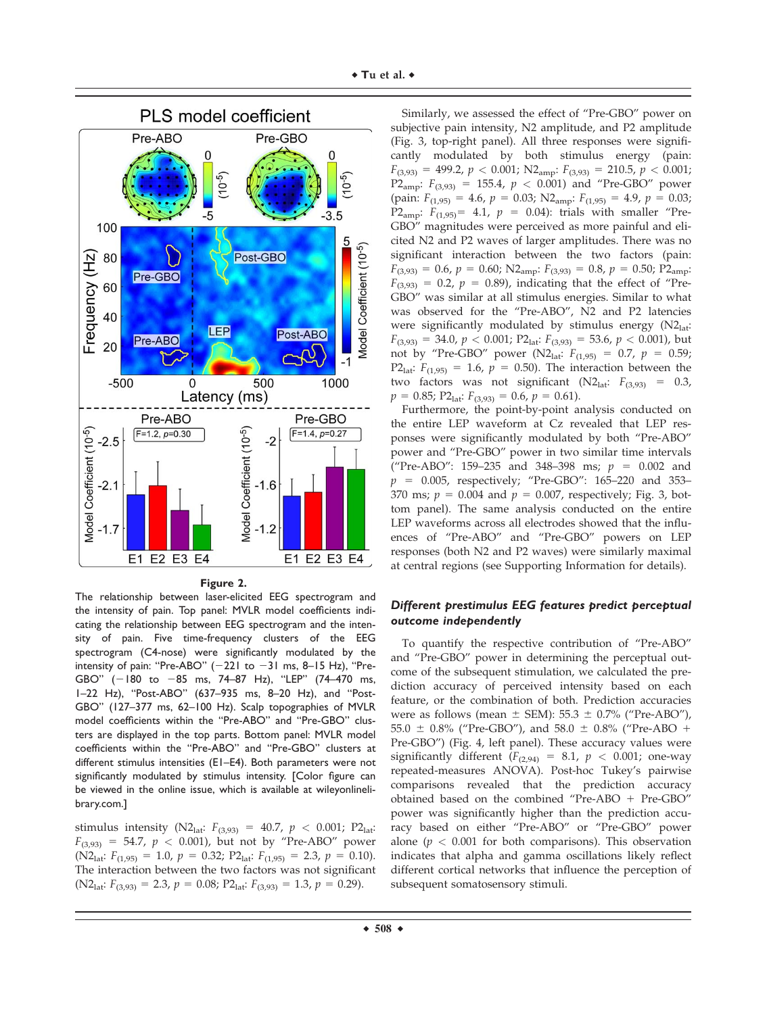



The relationship between laser-elicited EEG spectrogram and the intensity of pain. Top panel: MVLR model coefficients indicating the relationship between EEG spectrogram and the intensity of pain. Five time-frequency clusters of the EEG spectrogram (C4-nose) were significantly modulated by the intensity of pain: "Pre-ABO"  $(-221$  to  $-31$  ms, 8–15 Hz), "Pre-GBO"  $(-180 \text{ to } -85 \text{ ms}, 74-87 \text{ Hz})$ , "LEP" (74-470 ms, 1–22 Hz), "Post-ABO" (637–935 ms, 8–20 Hz), and "Post-GBO" (127–377 ms, 62–100 Hz). Scalp topographies of MVLR model coefficients within the "Pre-ABO" and "Pre-GBO" clusters are displayed in the top parts. Bottom panel: MVLR model coefficients within the "Pre-ABO" and "Pre-GBO" clusters at different stimulus intensities (E1–E4). Both parameters were not significantly modulated by stimulus intensity. [Color figure can be viewed in the online issue, which is available at [wileyonlineli](http://wileyonlinelibrary.com)[brary.com.](http://wileyonlinelibrary.com)]

stimulus intensity (N2<sub>lat</sub>:  $F_{(3,93)} = 40.7$ ,  $p < 0.001$ ; P2<sub>lat</sub>:  $F_{(3,93)} = 54.7, p < 0.001$ , but not by "Pre-ABO" power (N2<sub>lat</sub>:  $F_{(1,95)} = 1.0$ ,  $p = 0.32$ ; P2<sub>lat</sub>:  $F_{(1,95)} = 2.3$ ,  $p = 0.10$ ). The interaction between the two factors was not significant (N2<sub>lat</sub>:  $F_{(3,93)} = 2.3$ ,  $p = 0.08$ ; P2<sub>lat</sub>:  $F_{(3,93)} = 1.3$ ,  $p = 0.29$ ).

Similarly, we assessed the effect of "Pre-GBO" power on subjective pain intensity, N2 amplitude, and P2 amplitude (Fig. 3, top-right panel). All three responses were significantly modulated by both stimulus energy (pain:  $F_{(3,93)} = 499.2$ ,  $p < 0.001$ ; N2<sub>amp</sub>:  $F_{(3,93)} = 210.5$ ,  $p < 0.001$ ; P2<sub>amp</sub>:  $F_{(3,93)} = 155.4$ ,  $p < 0.001$ ) and "Pre-GBO" power (pain:  $F_{(1,95)} = 4.6$ ,  $p = 0.03$ ; N2<sub>amp</sub>:  $F_{(1,95)} = 4.9$ ,  $p = 0.03$ ; P2<sub>amp</sub>:  $F_{(1,95)} = 4.1$ ,  $p = 0.04$ ): trials with smaller "Pre-GBO" magnitudes were perceived as more painful and elicited N2 and P2 waves of larger amplitudes. There was no significant interaction between the two factors (pain:  $F_{(3,93)} = 0.6$ ,  $p = 0.60$ ; N2<sub>amp</sub>:  $F_{(3,93)} = 0.8$ ,  $p = 0.50$ ; P2<sub>amp</sub>:  $F_{(3,93)} = 0.2$ ,  $p = 0.89$ ), indicating that the effect of "Pre-GBO" was similar at all stimulus energies. Similar to what was observed for the "Pre-ABO", N2 and P2 latencies were significantly modulated by stimulus energy  $(N2<sub>lat</sub>:$  $F_{(3,93)} = 34.0, p < 0.001; P2<sub>lat</sub>: F_{(3,93)} = 53.6, p < 0.001$ , but not by "Pre-GBO" power (N2<sub>lat</sub>:  $F_{(1,95)} = 0.7$ ,  $p = 0.59$ ; P2<sub>lat</sub>:  $F_{(1,95)} = 1.6$ ,  $p = 0.50$ ). The interaction between the two factors was not significant (N2<sub>lat</sub>:  $F_{(3,93)}$  = 0.3,  $p = 0.85;$  P2<sub>lat</sub>:  $F_{(3,93)} = 0.6, p = 0.61$ .

Furthermore, the point-by-point analysis conducted on the entire LEP waveform at Cz revealed that LEP responses were significantly modulated by both "Pre-ABO" power and "Pre-GBO" power in two similar time intervals ("Pre-ABO": 159-235 and 348-398 ms;  $p = 0.002$  and  $p = 0.005$ , respectively; "Pre-GBO": 165–220 and 353– 370 ms;  $p = 0.004$  and  $p = 0.007$ , respectively; Fig. 3, bottom panel). The same analysis conducted on the entire LEP waveforms across all electrodes showed that the influences of "Pre-ABO" and "Pre-GBO" powers on LEP responses (both N2 and P2 waves) were similarly maximal at central regions (see Supporting Information for details).

# Different prestimulus EEG features predict perceptual outcome independently

To quantify the respective contribution of "Pre-ABO" and "Pre-GBO" power in determining the perceptual outcome of the subsequent stimulation, we calculated the prediction accuracy of perceived intensity based on each feature, or the combination of both. Prediction accuracies were as follows (mean  $\pm$  SEM): 55.3  $\pm$  0.7% ("Pre-ABO"), 55.0  $\pm$  0.8% ("Pre-GBO"), and 58.0  $\pm$  0.8% ("Pre-ABO + Pre-GBO") (Fig. 4, left panel). These accuracy values were significantly different ( $F_{(2,94)} = 8.1$ ,  $p < 0.001$ ; one-way repeated-measures ANOVA). Post-hoc Tukey's pairwise comparisons revealed that the prediction accuracy obtained based on the combined "Pre-ABO  $+$  Pre-GBO" power was significantly higher than the prediction accuracy based on either "Pre-ABO" or "Pre-GBO" power alone ( $p < 0.001$  for both comparisons). This observation indicates that alpha and gamma oscillations likely reflect different cortical networks that influence the perception of subsequent somatosensory stimuli.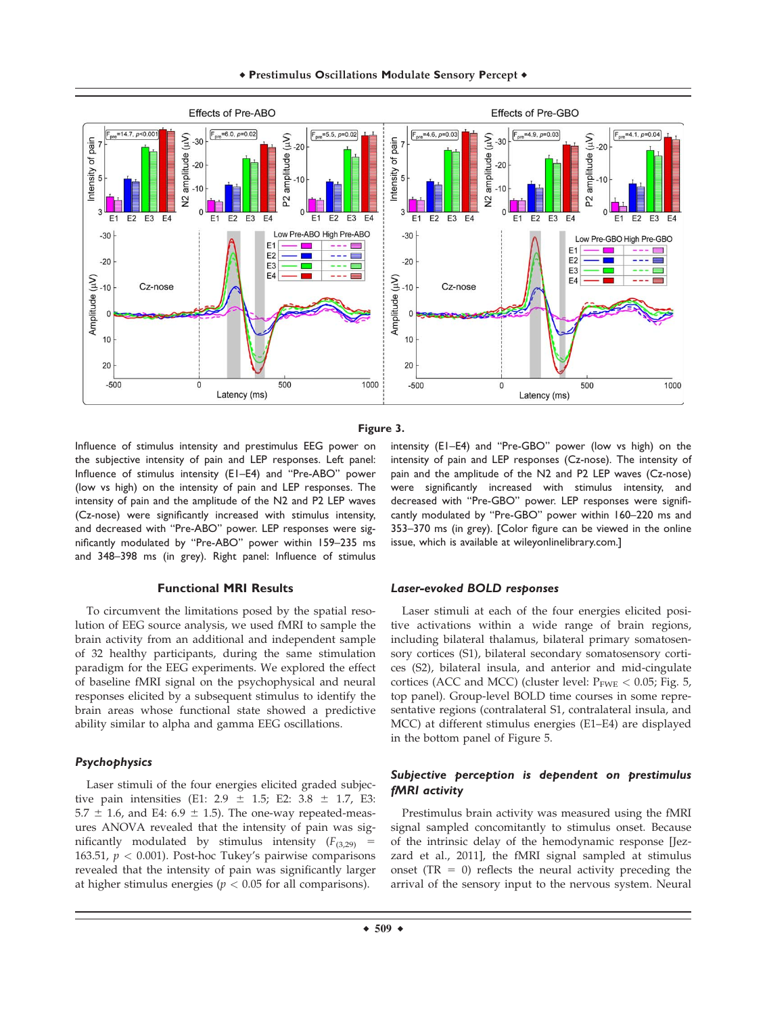<sup>r</sup> **P**restimulus **O**scillations **M**odulate **S**ensory **P**ercept <sup>r</sup>



#### **Figure 3.**

Influence of stimulus intensity and prestimulus EEG power on the subjective intensity of pain and LEP responses. Left panel: Influence of stimulus intensity (E1–E4) and "Pre-ABO" power (low vs high) on the intensity of pain and LEP responses. The intensity of pain and the amplitude of the N2 and P2 LEP waves (Cz-nose) were significantly increased with stimulus intensity, and decreased with "Pre-ABO" power. LEP responses were significantly modulated by "Pre-ABO" power within 159–235 ms and 348–398 ms (in grey). Right panel: Influence of stimulus

#### **Functional MRI Results**

To circumvent the limitations posed by the spatial resolution of EEG source analysis, we used fMRI to sample the brain activity from an additional and independent sample of 32 healthy participants, during the same stimulation paradigm for the EEG experiments. We explored the effect of baseline fMRI signal on the psychophysical and neural responses elicited by a subsequent stimulus to identify the brain areas whose functional state showed a predictive ability similar to alpha and gamma EEG oscillations.

## Psychophysics

Laser stimuli of the four energies elicited graded subjective pain intensities (E1: 2.9  $\pm$  1.5; E2: 3.8  $\pm$  1.7, E3:  $5.7 \pm 1.6$ , and E4:  $6.9 \pm 1.5$ ). The one-way repeated-measures ANOVA revealed that the intensity of pain was significantly modulated by stimulus intensity  $(F_{(3,29)}$  = 163.51,  $p < 0.001$ ). Post-hoc Tukey's pairwise comparisons revealed that the intensity of pain was significantly larger at higher stimulus energies ( $p < 0.05$  for all comparisons).

intensity (E1–E4) and "Pre-GBO" power (low vs high) on the intensity of pain and LEP responses (Cz-nose). The intensity of pain and the amplitude of the N2 and P2 LEP waves (Cz-nose) were significantly increased with stimulus intensity, and decreased with "Pre-GBO" power. LEP responses were significantly modulated by "Pre-GBO" power within 160–220 ms and 353–370 ms (in grey). [Color figure can be viewed in the online issue, which is available at [wileyonlinelibrary.com.](http://wileyonlinelibrary.com)]

## Laser-evoked BOLD responses

Laser stimuli at each of the four energies elicited positive activations within a wide range of brain regions, including bilateral thalamus, bilateral primary somatosensory cortices (S1), bilateral secondary somatosensory cortices (S2), bilateral insula, and anterior and mid-cingulate cortices (ACC and MCC) (cluster level:  $P_{\text{FWE}} < 0.05$ ; Fig. 5, top panel). Group-level BOLD time courses in some representative regions (contralateral S1, contralateral insula, and MCC) at different stimulus energies (E1–E4) are displayed in the bottom panel of Figure 5.

# Subjective perception is dependent on prestimulus fMRI activity

Prestimulus brain activity was measured using the fMRI signal sampled concomitantly to stimulus onset. Because of the intrinsic delay of the hemodynamic response [Jezzard et al., 2011], the fMRI signal sampled at stimulus onset (TR = 0) reflects the neural activity preceding the arrival of the sensory input to the nervous system. Neural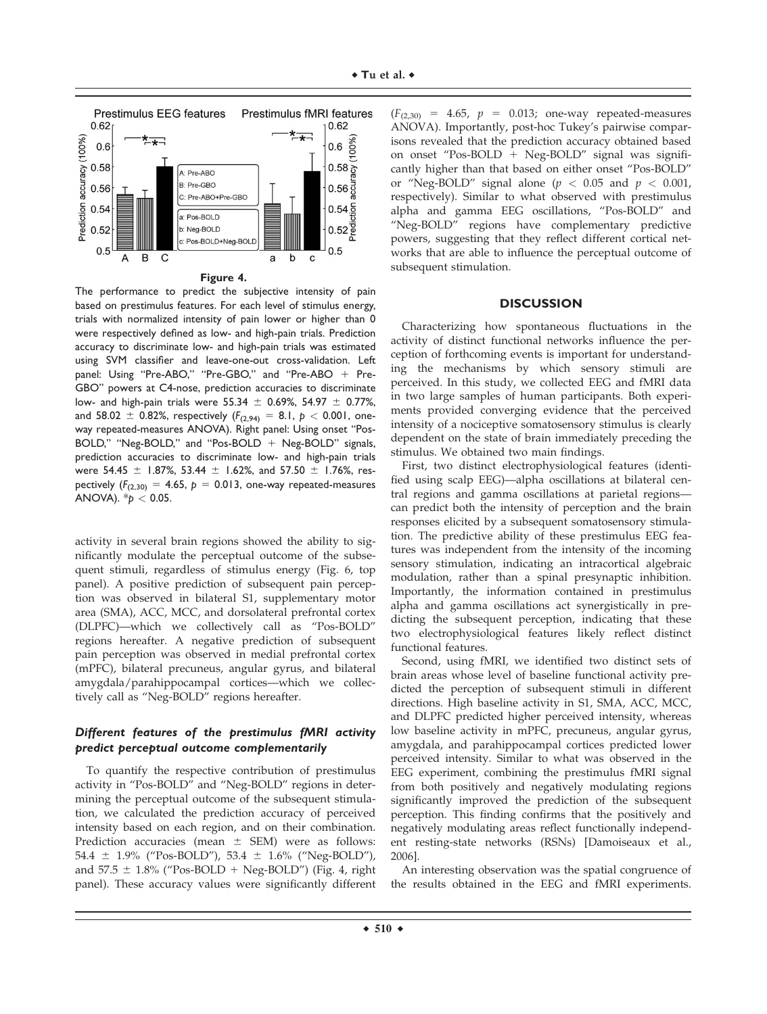

**Figure 4.**

The performance to predict the subjective intensity of pain based on prestimulus features. For each level of stimulus energy, trials with normalized intensity of pain lower or higher than 0 were respectively defined as low- and high-pain trials. Prediction accuracy to discriminate low- and high-pain trials was estimated using SVM classifier and leave-one-out cross-validation. Left panel: Using "Pre-ABO," "Pre-GBO," and "Pre-ABO + Pre-GBO" powers at C4-nose, prediction accuracies to discriminate low- and high-pain trials were 55.34  $\pm$  0.69%, 54.97  $\pm$  0.77%, and 58.02  $\pm$  0.82%, respectively ( $F_{(2,94)} = 8.1$ ,  $p < 0.001$ , oneway repeated-measures ANOVA). Right panel: Using onset "Pos-BOLD," "Neg-BOLD," and "Pos-BOLD  $+$  Neg-BOLD" signals, prediction accuracies to discriminate low- and high-pain trials were 54.45  $\pm$  1.87%, 53.44  $\pm$  1.62%, and 57.50  $\pm$  1.76%, respectively  $(F_{(2,30)} = 4.65, p = 0.013,$  one-way repeated-measures ANOVA). \**p* < 0.05.

activity in several brain regions showed the ability to significantly modulate the perceptual outcome of the subsequent stimuli, regardless of stimulus energy (Fig. 6, top panel). A positive prediction of subsequent pain perception was observed in bilateral S1, supplementary motor area (SMA), ACC, MCC, and dorsolateral prefrontal cortex (DLPFC)—which we collectively call as "Pos-BOLD" regions hereafter. A negative prediction of subsequent pain perception was observed in medial prefrontal cortex (mPFC), bilateral precuneus, angular gyrus, and bilateral amygdala/parahippocampal cortices—which we collectively call as "Neg-BOLD" regions hereafter.

# Different features of the prestimulus fMRI activity predict perceptual outcome complementarily

To quantify the respective contribution of prestimulus activity in "Pos-BOLD" and "Neg-BOLD" regions in determining the perceptual outcome of the subsequent stimulation, we calculated the prediction accuracy of perceived intensity based on each region, and on their combination. Prediction accuracies (mean  $\pm$  SEM) were as follows: 54.4  $\pm$  1.9% ("Pos-BOLD"), 53.4  $\pm$  1.6% ("Neg-BOLD"), and  $57.5 \pm 1.8\%$  ("Pos-BOLD + Neg-BOLD") (Fig. 4, right panel). These accuracy values were significantly different  $(F_{(2,30)} = 4.65, p = 0.013;$  one-way repeated-measures ANOVA). Importantly, post-hoc Tukey's pairwise comparisons revealed that the prediction accuracy obtained based on onset "Pos-BOLD + Neg-BOLD" signal was significantly higher than that based on either onset "Pos-BOLD" or "Neg-BOLD" signal alone ( $p < 0.05$  and  $p < 0.001$ , respectively). Similar to what observed with prestimulus alpha and gamma EEG oscillations, "Pos-BOLD" and "Neg-BOLD" regions have complementary predictive powers, suggesting that they reflect different cortical networks that are able to influence the perceptual outcome of subsequent stimulation.

#### **DISCUSSION**

Characterizing how spontaneous fluctuations in the activity of distinct functional networks influence the perception of forthcoming events is important for understanding the mechanisms by which sensory stimuli are perceived. In this study, we collected EEG and fMRI data in two large samples of human participants. Both experiments provided converging evidence that the perceived intensity of a nociceptive somatosensory stimulus is clearly dependent on the state of brain immediately preceding the stimulus. We obtained two main findings.

First, two distinct electrophysiological features (identified using scalp EEG)—alpha oscillations at bilateral central regions and gamma oscillations at parietal regions can predict both the intensity of perception and the brain responses elicited by a subsequent somatosensory stimulation. The predictive ability of these prestimulus EEG features was independent from the intensity of the incoming sensory stimulation, indicating an intracortical algebraic modulation, rather than a spinal presynaptic inhibition. Importantly, the information contained in prestimulus alpha and gamma oscillations act synergistically in predicting the subsequent perception, indicating that these two electrophysiological features likely reflect distinct functional features.

Second, using fMRI, we identified two distinct sets of brain areas whose level of baseline functional activity predicted the perception of subsequent stimuli in different directions. High baseline activity in S1, SMA, ACC, MCC, and DLPFC predicted higher perceived intensity, whereas low baseline activity in mPFC, precuneus, angular gyrus, amygdala, and parahippocampal cortices predicted lower perceived intensity. Similar to what was observed in the EEG experiment, combining the prestimulus fMRI signal from both positively and negatively modulating regions significantly improved the prediction of the subsequent perception. This finding confirms that the positively and negatively modulating areas reflect functionally independent resting-state networks (RSNs) [Damoiseaux et al., 2006].

An interesting observation was the spatial congruence of the results obtained in the EEG and fMRI experiments.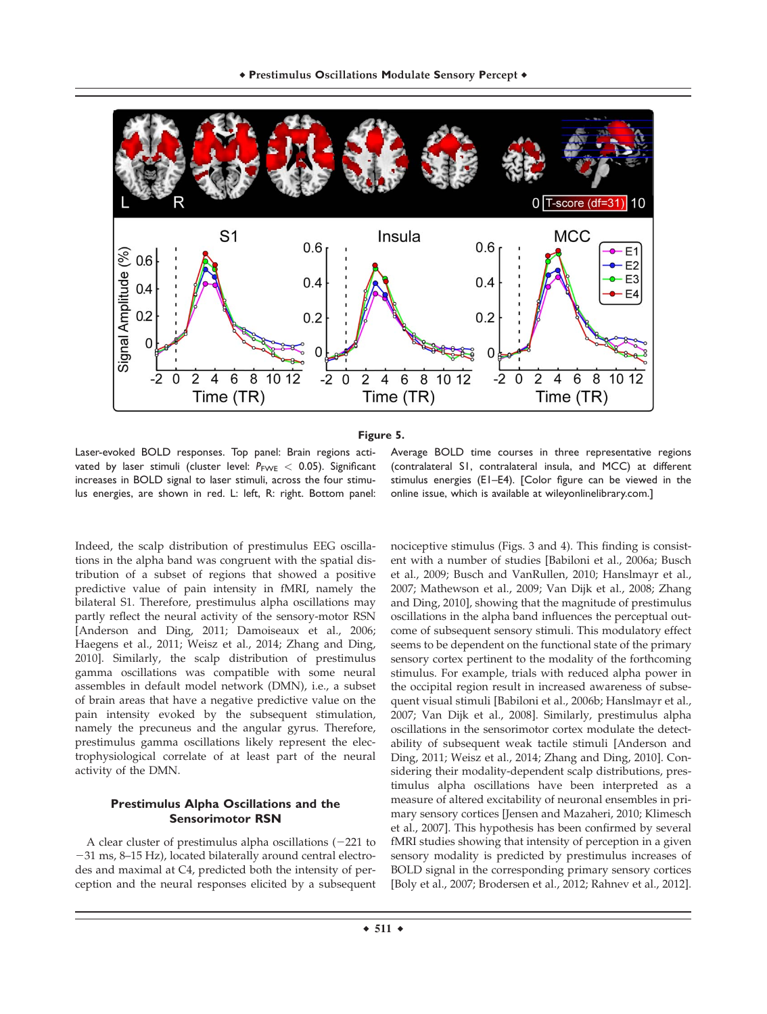



Laser-evoked BOLD responses. Top panel: Brain regions activated by laser stimuli (cluster level:  $P_{\text{FWE}} < 0.05$ ). Significant increases in BOLD signal to laser stimuli, across the four stimulus energies, are shown in red. L: left, R: right. Bottom panel:

Average BOLD time courses in three representative regions (contralateral S1, contralateral insula, and MCC) at different stimulus energies (E1–E4). [Color figure can be viewed in the online issue, which is available at [wileyonlinelibrary.com.](http://wileyonlinelibrary.com)]

Indeed, the scalp distribution of prestimulus EEG oscillations in the alpha band was congruent with the spatial distribution of a subset of regions that showed a positive predictive value of pain intensity in fMRI, namely the bilateral S1. Therefore, prestimulus alpha oscillations may partly reflect the neural activity of the sensory-motor RSN [Anderson and Ding, 2011; Damoiseaux et al., 2006; Haegens et al., 2011; Weisz et al., 2014; Zhang and Ding, 2010]. Similarly, the scalp distribution of prestimulus gamma oscillations was compatible with some neural assembles in default model network (DMN), i.e., a subset of brain areas that have a negative predictive value on the pain intensity evoked by the subsequent stimulation, namely the precuneus and the angular gyrus. Therefore, prestimulus gamma oscillations likely represent the electrophysiological correlate of at least part of the neural activity of the DMN.

# **Prestimulus Alpha Oscillations and the Sensorimotor RSN**

A clear cluster of prestimulus alpha oscillations  $(-221$  to -31 ms, 8-15 Hz), located bilaterally around central electrodes and maximal at C4, predicted both the intensity of perception and the neural responses elicited by a subsequent nociceptive stimulus (Figs. 3 and 4). This finding is consistent with a number of studies [Babiloni et al., 2006a; Busch et al., 2009; Busch and VanRullen, 2010; Hanslmayr et al., 2007; Mathewson et al., 2009; Van Dijk et al., 2008; Zhang and Ding, 2010], showing that the magnitude of prestimulus oscillations in the alpha band influences the perceptual outcome of subsequent sensory stimuli. This modulatory effect seems to be dependent on the functional state of the primary sensory cortex pertinent to the modality of the forthcoming stimulus. For example, trials with reduced alpha power in the occipital region result in increased awareness of subsequent visual stimuli [Babiloni et al., 2006b; Hanslmayr et al., 2007; Van Dijk et al., 2008]. Similarly, prestimulus alpha oscillations in the sensorimotor cortex modulate the detectability of subsequent weak tactile stimuli [Anderson and Ding, 2011; Weisz et al., 2014; Zhang and Ding, 2010]. Considering their modality-dependent scalp distributions, prestimulus alpha oscillations have been interpreted as a measure of altered excitability of neuronal ensembles in primary sensory cortices [Jensen and Mazaheri, 2010; Klimesch et al., 2007]. This hypothesis has been confirmed by several fMRI studies showing that intensity of perception in a given sensory modality is predicted by prestimulus increases of BOLD signal in the corresponding primary sensory cortices [Boly et al., 2007; Brodersen et al., 2012; Rahnev et al., 2012].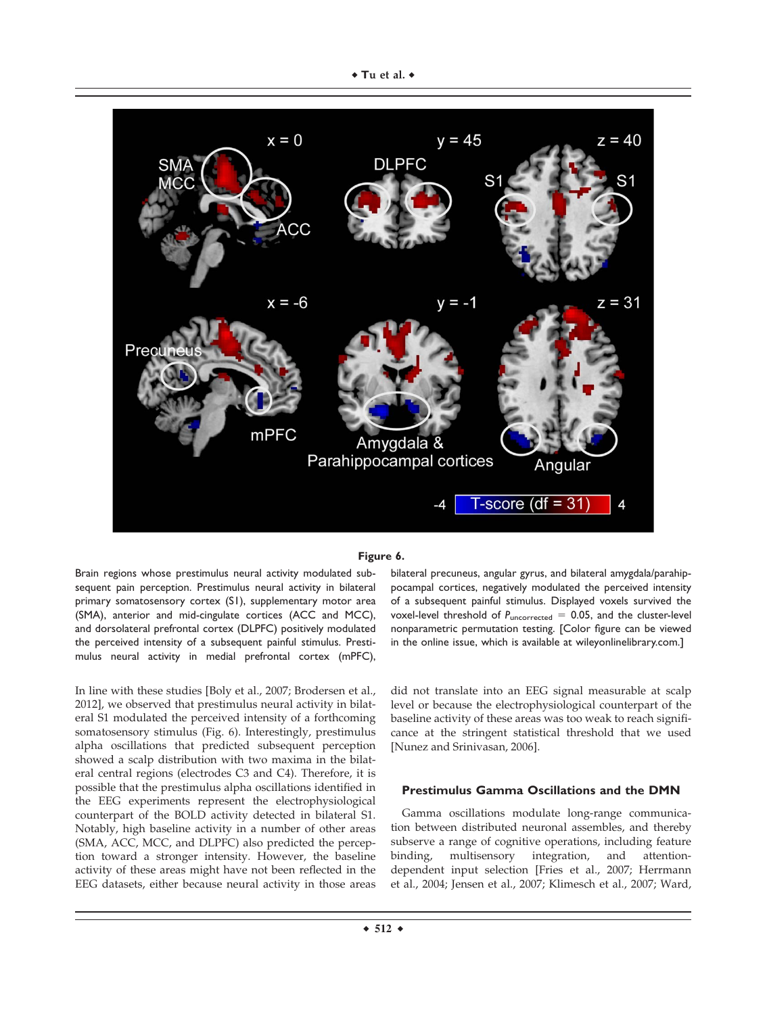

#### **Figure 6.**

Brain regions whose prestimulus neural activity modulated subsequent pain perception. Prestimulus neural activity in bilateral primary somatosensory cortex (S1), supplementary motor area (SMA), anterior and mid-cingulate cortices (ACC and MCC), and dorsolateral prefrontal cortex (DLPFC) positively modulated the perceived intensity of a subsequent painful stimulus. Prestimulus neural activity in medial prefrontal cortex (mPFC),

In line with these studies [Boly et al., 2007; Brodersen et al., 2012], we observed that prestimulus neural activity in bilateral S1 modulated the perceived intensity of a forthcoming somatosensory stimulus (Fig. 6). Interestingly, prestimulus alpha oscillations that predicted subsequent perception showed a scalp distribution with two maxima in the bilateral central regions (electrodes C3 and C4). Therefore, it is possible that the prestimulus alpha oscillations identified in the EEG experiments represent the electrophysiological counterpart of the BOLD activity detected in bilateral S1. Notably, high baseline activity in a number of other areas (SMA, ACC, MCC, and DLPFC) also predicted the perception toward a stronger intensity. However, the baseline activity of these areas might have not been reflected in the EEG datasets, either because neural activity in those areas

bilateral precuneus, angular gyrus, and bilateral amygdala/parahippocampal cortices, negatively modulated the perceived intensity of a subsequent painful stimulus. Displayed voxels survived the voxel-level threshold of  $P_{\text{uncorrected}} = 0.05$ , and the cluster-level nonparametric permutation testing. [Color figure can be viewed in the online issue, which is available at [wileyonlinelibrary.com](http://wileyonlinelibrary.com).]

did not translate into an EEG signal measurable at scalp level or because the electrophysiological counterpart of the baseline activity of these areas was too weak to reach significance at the stringent statistical threshold that we used [Nunez and Srinivasan, 2006].

#### **Prestimulus Gamma Oscillations and the DMN**

Gamma oscillations modulate long-range communication between distributed neuronal assembles, and thereby subserve a range of cognitive operations, including feature binding, multisensory integration, and attentiondependent input selection [Fries et al., 2007; Herrmann et al., 2004; Jensen et al., 2007; Klimesch et al., 2007; Ward,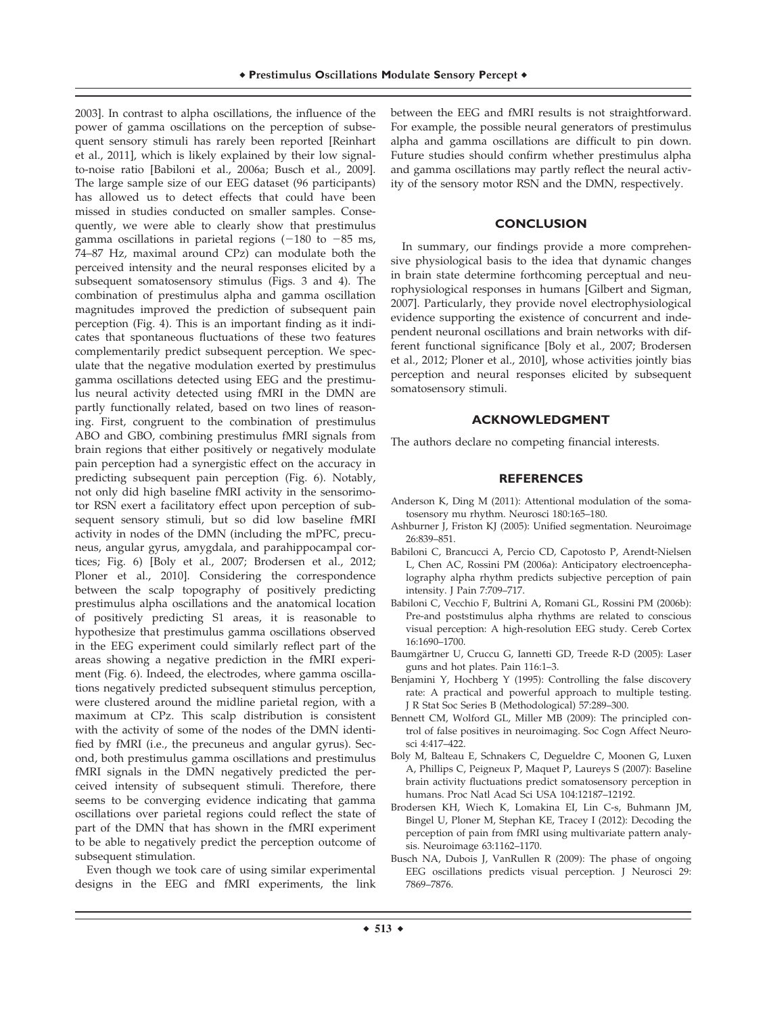2003]. In contrast to alpha oscillations, the influence of the power of gamma oscillations on the perception of subsequent sensory stimuli has rarely been reported [Reinhart et al., 2011], which is likely explained by their low signalto-noise ratio [Babiloni et al., 2006a; Busch et al., 2009]. The large sample size of our EEG dataset (96 participants) has allowed us to detect effects that could have been missed in studies conducted on smaller samples. Consequently, we were able to clearly show that prestimulus gamma oscillations in parietal regions  $(-180$  to  $-85$  ms, 74–87 Hz, maximal around CPz) can modulate both the perceived intensity and the neural responses elicited by a subsequent somatosensory stimulus (Figs. 3 and 4). The combination of prestimulus alpha and gamma oscillation magnitudes improved the prediction of subsequent pain perception (Fig. 4). This is an important finding as it indicates that spontaneous fluctuations of these two features complementarily predict subsequent perception. We speculate that the negative modulation exerted by prestimulus gamma oscillations detected using EEG and the prestimulus neural activity detected using fMRI in the DMN are partly functionally related, based on two lines of reasoning. First, congruent to the combination of prestimulus ABO and GBO, combining prestimulus fMRI signals from brain regions that either positively or negatively modulate pain perception had a synergistic effect on the accuracy in predicting subsequent pain perception (Fig. 6). Notably, not only did high baseline fMRI activity in the sensorimotor RSN exert a facilitatory effect upon perception of subsequent sensory stimuli, but so did low baseline fMRI activity in nodes of the DMN (including the mPFC, precuneus, angular gyrus, amygdala, and parahippocampal cortices; Fig. 6) [Boly et al., 2007; Brodersen et al., 2012; Ploner et al., 2010]. Considering the correspondence between the scalp topography of positively predicting prestimulus alpha oscillations and the anatomical location of positively predicting S1 areas, it is reasonable to hypothesize that prestimulus gamma oscillations observed in the EEG experiment could similarly reflect part of the areas showing a negative prediction in the fMRI experiment (Fig. 6). Indeed, the electrodes, where gamma oscillations negatively predicted subsequent stimulus perception, were clustered around the midline parietal region, with a maximum at CPz. This scalp distribution is consistent with the activity of some of the nodes of the DMN identified by fMRI (i.e., the precuneus and angular gyrus). Second, both prestimulus gamma oscillations and prestimulus fMRI signals in the DMN negatively predicted the perceived intensity of subsequent stimuli. Therefore, there seems to be converging evidence indicating that gamma oscillations over parietal regions could reflect the state of part of the DMN that has shown in the fMRI experiment to be able to negatively predict the perception outcome of subsequent stimulation.

Even though we took care of using similar experimental designs in the EEG and fMRI experiments, the link between the EEG and fMRI results is not straightforward. For example, the possible neural generators of prestimulus alpha and gamma oscillations are difficult to pin down. Future studies should confirm whether prestimulus alpha and gamma oscillations may partly reflect the neural activity of the sensory motor RSN and the DMN, respectively.

#### **CONCLUSION**

In summary, our findings provide a more comprehensive physiological basis to the idea that dynamic changes in brain state determine forthcoming perceptual and neurophysiological responses in humans [Gilbert and Sigman, 2007]. Particularly, they provide novel electrophysiological evidence supporting the existence of concurrent and independent neuronal oscillations and brain networks with different functional significance [Boly et al., 2007; Brodersen et al., 2012; Ploner et al., 2010], whose activities jointly bias perception and neural responses elicited by subsequent somatosensory stimuli.

## **ACKNOWLEDGMENT**

The authors declare no competing financial interests.

#### **REFERENCES**

- Anderson K, Ding M (2011): Attentional modulation of the somatosensory mu rhythm. Neurosci 180:165–180.
- Ashburner J, Friston KJ (2005): Unified segmentation. Neuroimage 26:839–851.
- Babiloni C, Brancucci A, Percio CD, Capotosto P, Arendt-Nielsen L, Chen AC, Rossini PM (2006a): Anticipatory electroencephalography alpha rhythm predicts subjective perception of pain intensity. J Pain 7:709–717.
- Babiloni C, Vecchio F, Bultrini A, Romani GL, Rossini PM (2006b): Pre-and poststimulus alpha rhythms are related to conscious visual perception: A high-resolution EEG study. Cereb Cortex 16:1690–1700.
- Baumgärtner U, Cruccu G, Iannetti GD, Treede R-D (2005): Laser guns and hot plates. Pain 116:1–3.
- Benjamini Y, Hochberg Y (1995): Controlling the false discovery rate: A practical and powerful approach to multiple testing. J R Stat Soc Series B (Methodological) 57:289–300.
- Bennett CM, Wolford GL, Miller MB (2009): The principled control of false positives in neuroimaging. Soc Cogn Affect Neurosci 4:417–422.
- Boly M, Balteau E, Schnakers C, Degueldre C, Moonen G, Luxen A, Phillips C, Peigneux P, Maquet P, Laureys S (2007): Baseline brain activity fluctuations predict somatosensory perception in humans. Proc Natl Acad Sci USA 104:12187–12192.
- Brodersen KH, Wiech K, Lomakina EI, Lin C-s, Buhmann JM, Bingel U, Ploner M, Stephan KE, Tracey I (2012): Decoding the perception of pain from fMRI using multivariate pattern analysis. Neuroimage 63:1162–1170.
- Busch NA, Dubois J, VanRullen R (2009): The phase of ongoing EEG oscillations predicts visual perception. J Neurosci 29: 7869–7876.